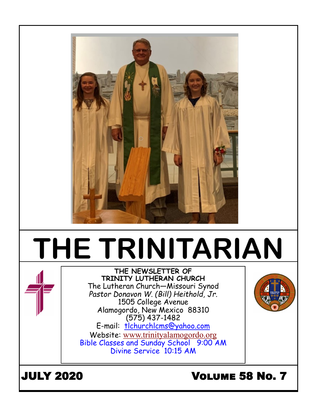

# **THE TRINITARIAN**



The Lutheran Church—Missouri Synod *Pastor Donavon W. (Bill) Heithold, Jr.* 1505 College Avenue Alamogordo, New Mexico 88310 (575) 437-1482 E-mail: tlchurchlcms@yahoo.com Website: [www.trinityalamogordo.org](http://www.tlcalamogordo/)

Bible Classes and Sunday School 9:00 AM Divine Service 10:15 AM

## JULY 2020 Volume 58 No. 7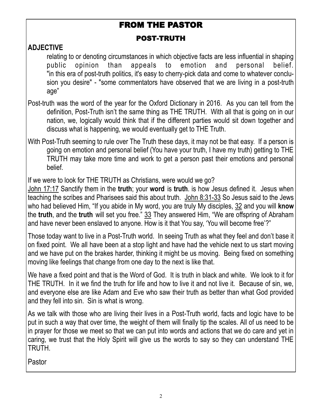## FROM THE PASTOR

#### POST-TRUTH

#### **ADJECTIVE**

relating to or denoting circumstances in which objective facts are less influential in shaping public opinion than appeals to emotion and personal belief. "in this era of post-truth politics, it's easy to cherry-pick data and come to whatever conclusion you desire" - "some commentators have observed that we are living in a post-truth age"

- Post-truth was the word of the year for the Oxford Dictionary in 2016. As you can tell from the definition, Post-Truth isn't the same thing as THE TRUTH. With all that is going on in our nation, we, logically would think that if the different parties would sit down together and discuss what is happening, we would eventually get to THE Truth.
- With Post-Truth seeming to rule over The Truth these days, it may not be that easy. If a person is going on emotion and personal belief (You have your truth, I have my truth) getting to THE TRUTH may take more time and work to get a person past their emotions and personal belief.

If we were to look for THE TRUTH as Christians, were would we go?

John 17:17 Sanctify them in the **truth**; your **word** is **truth**. is how Jesus defined it. Jesus when teaching the scribes and Pharisees said this about truth. John 8:31-33 So Jesus said to the Jews who had believed Him, "If you abide in My word, you are truly My disciples, 32 and you will **know**  the **truth**, and the **truth** will set you free." 33 They answered Him, "We are offspring of Abraham and have never been enslaved to anyone. How is it that You say, 'You will become free'?"

Those today want to live in a Post-Truth world. In seeing Truth as what they feel and don't base it on fixed point. We all have been at a stop light and have had the vehicle next to us start moving and we have put on the brakes harder, thinking it might be us moving. Being fixed on something moving like feelings that change from one day to the next is like that.

We have a fixed point and that is the Word of God. It is truth in black and white. We look to it for THE TRUTH. In it we find the truth for life and how to live it and not live it. Because of sin, we, and everyone else are like Adam and Eve who saw their truth as better than what God provided and they fell into sin. Sin is what is wrong.

As we talk with those who are living their lives in a Post-Truth world, facts and logic have to be put in such a way that over time, the weight of them will finally tip the scales. All of us need to be in prayer for those we meet so that we can put into words and actions that we do care and yet in caring, we trust that the Holy Spirit will give us the words to say so they can understand THE TRUTH.

Pastor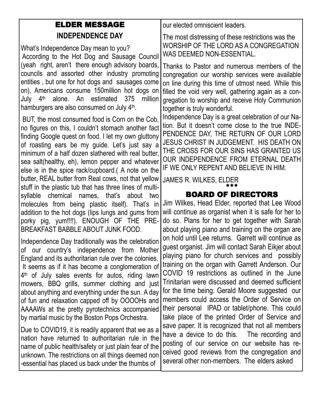### ELDER MESSAGE **INDEPENDENCE DAY**

What's Independence Day mean to you? According to the Hot Dog and Sausage Council (yeah right, aren't there enough advisory boards, councils and assorted other industry promoting entities , but one for hot dogs and sausages come on), Americans consume 150million hot dogs on July 4th alone. An estimated 375 million hamburgers are also consumed on July 4<sup>th</sup>.

BUT, the most consumed food is Corn on the Cob, no figures on this, I couldn't stomach another fact finding Google quest on food. I let my own gluttony of roasting ears be my guide. Let's just say a minimum of a half dozen slathered with real butter, sea salt(healthy, eh), lemon pepper and whatever else is in the spice rack/cupboard.( A note on the butter, REAL butter from Real cows, not that yellow stuff in the plastic tub that has three lines of multisyllable chemical names, that's about two molecules from being plastic itself). That's in addition to the hot dogs (lips lungs and gums from porky pig, yum!!!!). ENOUGH OF THE PRE-BREAKFAST BABBLE ABOUT JUNK FOOD.

Independence Day traditionally was the celebration of our country's independence from Mother England and its authoritarian rule over the colonies. It seems as if it has become a conglomeration of 4 th of July sales events for autos, riding lawn mowers, BBQ grills, summer clothing and just about anything and everything under the sun. A day of fun and relaxation capped off by OOOOHs and AAAAWs at the pretty pyrotechnics accompanied by martial music by the Boston Pops Orchestra.

Due to COVID19, it is readily apparent that we as a nation have returned to authoritarian rule in the name of public health/safety or just plain fear of the unknown. The restrictions on all things deemed non -essential has placed us back under the thumbs of

our elected omniscient leaders.

The most distressing of these restrictions was the WORSHIP OF THE LORD AS A CONGREGATION WAS DEEMED NON-ESSENTIAL.

Thanks to Pastor and numerous members of the congregation our worship services were available on line during this time of utmost need. While this filled the void very well, gathering again as a congregation to worship and receive Holy Communion together is truly wonderful.

Independence Day is a great celebration of our Nation. But it doesn't come close to the true INDE-PENDENCE DAY, THE RETURN OF OUR LORD JESUS CHRIST IN JUDGEMENT. HIS DEATH ON THE CROSS FOR OUR SINS HAS GRANTED US OUR INDEPENDENCE FROM ETERNAL DEATH IF WE ONLY REPENT AND BELIEVE IN HIM.

JAMES R. WILKES, ELDER

#### \*\*\* BOARD OF DIRECTORS

Jim Wilkes, Head Elder, reported that Lee Wood will continue as organist when it is safe for her to do so. Plans for her to get together with Sarah about playing piano and training on the organ are on hold until Lee returns. Garrett will continue as guest organist. Jim will contact Sarah Eikjer about playing piano for church services and possibly training on the organ with Garrett Anderson. Our COVID 19 restrictions as outlined in the June Trinitarian were discussed and deemed sufficient for the time being. Gerald Moore suggested our members could access the Order of Service on their personal IPAD or tablet/phone. This could take place of the printed Order of Service and save paper. It is recognized that not all members have a device to do this. The recording and posting of our service on our website has received good reviews from the congregation and several other non-members. The elders asked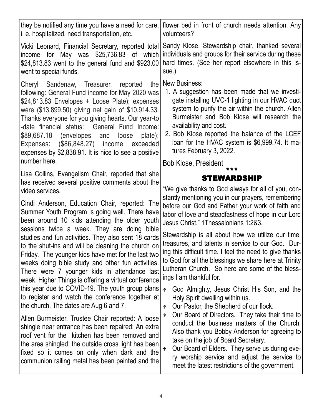| they be notified any time you have a need for care,<br>i. e. hospitalized, need transportation, etc.                                                                                                                                                                                                                                                                                                                                                                                                                                                                                                                                                                                                                                                                                                                                                                                                                                                                                                                                                                                                                                                      | flower bed in front of church needs attention. Any<br>volunteers?                                                                                                                                                                                                                                                                                                                                                                                                                                                                                                                                                                                              |  |  |  |  |
|-----------------------------------------------------------------------------------------------------------------------------------------------------------------------------------------------------------------------------------------------------------------------------------------------------------------------------------------------------------------------------------------------------------------------------------------------------------------------------------------------------------------------------------------------------------------------------------------------------------------------------------------------------------------------------------------------------------------------------------------------------------------------------------------------------------------------------------------------------------------------------------------------------------------------------------------------------------------------------------------------------------------------------------------------------------------------------------------------------------------------------------------------------------|----------------------------------------------------------------------------------------------------------------------------------------------------------------------------------------------------------------------------------------------------------------------------------------------------------------------------------------------------------------------------------------------------------------------------------------------------------------------------------------------------------------------------------------------------------------------------------------------------------------------------------------------------------------|--|--|--|--|
| Vicki Leonard, Financial Secretary, reported total<br>income for May was \$25,736.83 of which<br>\$24,813.83 went to the general fund and \$923.00<br>went to special funds.                                                                                                                                                                                                                                                                                                                                                                                                                                                                                                                                                                                                                                                                                                                                                                                                                                                                                                                                                                              | Sandy Klose, Stewardship chair, thanked several<br>individuals and groups for their service during these<br>hard times. (See her report elsewhere in this is-<br>sue.)                                                                                                                                                                                                                                                                                                                                                                                                                                                                                         |  |  |  |  |
| Cheryl Sandenaw, Treasurer,<br>reported<br>the l<br>following: General Fund income for May 2020 was<br>\$24,813.83 Envelopes + Loose Plate); expenses<br>were (\$13,899.50) giving net gain of \$10,914.33.<br>Thanks everyone for you giving hearts. Our year-to<br>-date financial status: General Fund Income:<br>\$89,687.18 (envelopes and loose<br>plate);<br>Expenses: (\$86,848.27) income<br>exceeded<br>expenses by \$2,838.91. It is nice to see a positive                                                                                                                                                                                                                                                                                                                                                                                                                                                                                                                                                                                                                                                                                    | <b>New Business:</b><br>1. A suggestion has been made that we investi-<br>gate installing UVC-1 lighting in our HVAC duct<br>system to purify the air within the church. Allen<br>Burmeister and Bob Klose will research the<br>availability and cost.<br>2. Bob Klose reported the balance of the LCEF<br>loan for the HVAC system is \$6,999.74. It ma-<br>tures February 3, 2022.                                                                                                                                                                                                                                                                           |  |  |  |  |
| number here.                                                                                                                                                                                                                                                                                                                                                                                                                                                                                                                                                                                                                                                                                                                                                                                                                                                                                                                                                                                                                                                                                                                                              | Bob Klose, President<br>***                                                                                                                                                                                                                                                                                                                                                                                                                                                                                                                                                                                                                                    |  |  |  |  |
| Lisa Collins, Evangelism Chair, reported that she<br>has received several positive comments about the<br>video services.<br>Cindi Anderson, Education Chair, reported: The<br>Summer Youth Program is going well. There have<br>been around 10 kids attending the older youth<br>sessions twice a week. They are doing bible<br>studies and fun activities. They also sent 18 cards<br>to the shut-ins and will be cleaning the church on<br>Friday. The younger kids have met for the last two<br>weeks doing bible study and other fun activities.<br>There were 7 younger kids in attendance last<br>week. Higher Things is offering a virtual conference<br>this year due to COVID-19. The youth group plans<br>to register and watch the conference together at<br>the church. The dates are Aug 6 and 7.<br>$\pmb{\phi}$<br>♦<br>Allen Burmeister, Trustee Chair reported: A loose<br>shingle near entrance has been repaired; An extra<br>roof vent for the kitchen has been removed and<br>the area shingled; the outside cross light has been<br>fixed so it comes on only when dark and the<br>communion railing metal has been painted and the | <b>STEWARDSHIP</b><br>"We give thanks to God always for all of you, con-<br>stantly mentioning you in our prayers, remembering<br>before our God and Father your work of faith and<br>labor of love and steadfastness of hope in our Lord<br>Jesus Christ." 1Thessalonians 1:2&3.<br>Stewardship is all about how we utilize our time,<br>treasures, and talents in service to our God. Dur-<br>ing this difficult time, I feel the need to give thanks<br>to God for all the blessings we share here at Trinity<br>Lutheran Church. So here are some of the bless-<br>ings I am thankful for.<br>God Almighty, Jesus Christ His Son, and the<br>$\ddot{\phi}$ |  |  |  |  |
|                                                                                                                                                                                                                                                                                                                                                                                                                                                                                                                                                                                                                                                                                                                                                                                                                                                                                                                                                                                                                                                                                                                                                           | Holy Spirit dwelling within us.<br>Our Pastor, the Shepherd of our flock.<br>Our Board of Directors. They take their time to                                                                                                                                                                                                                                                                                                                                                                                                                                                                                                                                   |  |  |  |  |
|                                                                                                                                                                                                                                                                                                                                                                                                                                                                                                                                                                                                                                                                                                                                                                                                                                                                                                                                                                                                                                                                                                                                                           | conduct the business matters of the Church.<br>Also thank you Bobby Anderson for agreeing to<br>take on the job of Board Secretary.<br>Our Board of Elders. They serve us during eve-<br>$\hat{\mathsf{P}}$<br>ry worship service and adjust the service to<br>meet the latest restrictions of the government.                                                                                                                                                                                                                                                                                                                                                 |  |  |  |  |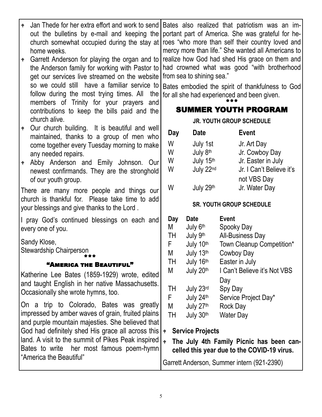| Jan Thede for her extra effort and work to send<br>$\bullet$<br>out the bulletins by e-mail and keeping the<br>church somewhat occupied during the stay at<br>home weeks.<br>Garrett Anderson for playing the organ and to<br>$\blacklozenge$<br>the Anderson family for working with Pastor to<br>get our services live streamed on the website<br>so we could still have a familiar service to<br>follow during the most trying times. All<br>the<br>members of Trinity for your prayers and |                                                               |                                                                | Bates also realized that patriotism was an im-<br>portant part of America. She was grateful for he-<br>roes "who more than self their country loved and<br>mercy more than life." She wanted all Americans to<br>realize how God had shed His grace on them and<br>had crowned what was good "with brotherhood<br>from sea to shining sea."<br>Bates embodied the spirit of thankfulness to God<br>for all she had experienced and been given. |                      |                  |                              |  |  |
|------------------------------------------------------------------------------------------------------------------------------------------------------------------------------------------------------------------------------------------------------------------------------------------------------------------------------------------------------------------------------------------------------------------------------------------------------------------------------------------------|---------------------------------------------------------------|----------------------------------------------------------------|------------------------------------------------------------------------------------------------------------------------------------------------------------------------------------------------------------------------------------------------------------------------------------------------------------------------------------------------------------------------------------------------------------------------------------------------|----------------------|------------------|------------------------------|--|--|
|                                                                                                                                                                                                                                                                                                                                                                                                                                                                                                | contributions to keep the bills paid and the<br>church alive. | <b>SUMMER YOUTH PROGRAM</b><br><b>JR. YOUTH GROUP SCHEDULE</b> |                                                                                                                                                                                                                                                                                                                                                                                                                                                |                      |                  |                              |  |  |
| $\blacklozenge$                                                                                                                                                                                                                                                                                                                                                                                                                                                                                | Our church building. It is beautiful and well                 |                                                                |                                                                                                                                                                                                                                                                                                                                                                                                                                                |                      |                  |                              |  |  |
|                                                                                                                                                                                                                                                                                                                                                                                                                                                                                                | maintained, thanks to a group of men who                      |                                                                | Day                                                                                                                                                                                                                                                                                                                                                                                                                                            | <b>Date</b>          |                  | <b>Event</b>                 |  |  |
|                                                                                                                                                                                                                                                                                                                                                                                                                                                                                                | come together every Tuesday morning to make                   |                                                                | W                                                                                                                                                                                                                                                                                                                                                                                                                                              | July 1st             |                  | Jr. Art Day                  |  |  |
|                                                                                                                                                                                                                                                                                                                                                                                                                                                                                                | any needed repairs.                                           |                                                                | W                                                                                                                                                                                                                                                                                                                                                                                                                                              | July 8 <sup>th</sup> |                  | Jr. Cowboy Day               |  |  |
| $\bullet$                                                                                                                                                                                                                                                                                                                                                                                                                                                                                      | Abby Anderson and Emily Johnson. Our                          |                                                                | W                                                                                                                                                                                                                                                                                                                                                                                                                                              | July 15th            |                  | Jr. Easter in July           |  |  |
|                                                                                                                                                                                                                                                                                                                                                                                                                                                                                                | newest confirmands. They are the stronghold                   |                                                                | W                                                                                                                                                                                                                                                                                                                                                                                                                                              | July 22nd            |                  | Jr. I Can't Believe it's     |  |  |
|                                                                                                                                                                                                                                                                                                                                                                                                                                                                                                | of our youth group.                                           |                                                                | W                                                                                                                                                                                                                                                                                                                                                                                                                                              |                      |                  | not VBS Day                  |  |  |
| There are many more people and things our<br>church is thankful for. Please take time to add<br>your blessings and give thanks to the Lord.                                                                                                                                                                                                                                                                                                                                                    |                                                               |                                                                | July 29th<br>Jr. Water Day<br><b>SR. YOUTH GROUP SCHEDULE</b>                                                                                                                                                                                                                                                                                                                                                                                  |                      |                  |                              |  |  |
| I pray God's continued blessings on each and                                                                                                                                                                                                                                                                                                                                                                                                                                                   |                                                               |                                                                | Day                                                                                                                                                                                                                                                                                                                                                                                                                                            | <b>Date</b>          | <b>Event</b>     |                              |  |  |
|                                                                                                                                                                                                                                                                                                                                                                                                                                                                                                | every one of you.                                             |                                                                | М                                                                                                                                                                                                                                                                                                                                                                                                                                              | July 6 <sup>th</sup> | Spooky Day       |                              |  |  |
|                                                                                                                                                                                                                                                                                                                                                                                                                                                                                                |                                                               |                                                                | ΤH                                                                                                                                                                                                                                                                                                                                                                                                                                             | July 9th             |                  | <b>All-Business Day</b>      |  |  |
| Sandy Klose,<br>Stewardship Chairperson                                                                                                                                                                                                                                                                                                                                                                                                                                                        |                                                               |                                                                | F                                                                                                                                                                                                                                                                                                                                                                                                                                              | July 10th            |                  | Town Cleanup Competition*    |  |  |
|                                                                                                                                                                                                                                                                                                                                                                                                                                                                                                | ***                                                           |                                                                | M                                                                                                                                                                                                                                                                                                                                                                                                                                              | July 13th            |                  | Cowboy Day                   |  |  |
|                                                                                                                                                                                                                                                                                                                                                                                                                                                                                                | "AMERICA THE BEAUTIFUL"                                       |                                                                | ΤH                                                                                                                                                                                                                                                                                                                                                                                                                                             | July 16th            | Easter in July   |                              |  |  |
|                                                                                                                                                                                                                                                                                                                                                                                                                                                                                                | Katherine Lee Bates (1859-1929) wrote, edited                 |                                                                | M                                                                                                                                                                                                                                                                                                                                                                                                                                              | July 20th            |                  | I Can't Believe it's Not VBS |  |  |
|                                                                                                                                                                                                                                                                                                                                                                                                                                                                                                | and taught English in her native Massachusetts.               |                                                                | ΤH                                                                                                                                                                                                                                                                                                                                                                                                                                             | July 23rd            | Day<br>Spy Day   |                              |  |  |
|                                                                                                                                                                                                                                                                                                                                                                                                                                                                                                | Occasionally she wrote hymns, too.                            |                                                                | F                                                                                                                                                                                                                                                                                                                                                                                                                                              | July 24th            |                  | Service Project Day*         |  |  |
|                                                                                                                                                                                                                                                                                                                                                                                                                                                                                                | On a trip to Colorado, Bates was greatly                      |                                                                | M                                                                                                                                                                                                                                                                                                                                                                                                                                              | July 27th            | <b>Rock Day</b>  |                              |  |  |
|                                                                                                                                                                                                                                                                                                                                                                                                                                                                                                | impressed by amber waves of grain, fruited plains             |                                                                | TH                                                                                                                                                                                                                                                                                                                                                                                                                                             | July 30th            | <b>Water Day</b> |                              |  |  |
| and purple mountain majesties. She believed that                                                                                                                                                                                                                                                                                                                                                                                                                                               |                                                               |                                                                |                                                                                                                                                                                                                                                                                                                                                                                                                                                |                      |                  |                              |  |  |
| God had definitely shed His grace all across this<br>land. A visit to the summit of Pikes Peak inspired<br>Bates to write her most famous poem-hymn                                                                                                                                                                                                                                                                                                                                            |                                                               |                                                                | <b>Service Projects</b><br>$\spadesuit$                                                                                                                                                                                                                                                                                                                                                                                                        |                      |                  |                              |  |  |
|                                                                                                                                                                                                                                                                                                                                                                                                                                                                                                |                                                               |                                                                | $\ddot{\phi}$<br>The July 4th Family Picnic has been can-                                                                                                                                                                                                                                                                                                                                                                                      |                      |                  |                              |  |  |
| "America the Beautiful"                                                                                                                                                                                                                                                                                                                                                                                                                                                                        |                                                               |                                                                | celled this year due to the COVID-19 virus.                                                                                                                                                                                                                                                                                                                                                                                                    |                      |                  |                              |  |  |
|                                                                                                                                                                                                                                                                                                                                                                                                                                                                                                |                                                               | Garrett Anderson, Summer intern (921-2390)                     |                                                                                                                                                                                                                                                                                                                                                                                                                                                |                      |                  |                              |  |  |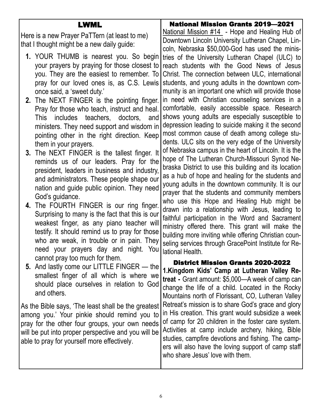| LWML                                                                                                  | <b>National Mission Grants 2019-2021</b><br>National Mission #14 - Hope and Healing Hub of                  |
|-------------------------------------------------------------------------------------------------------|-------------------------------------------------------------------------------------------------------------|
| Here is a new Prayer PaTTern (at least to me)                                                         | Downtown Lincoln University Lutheran Chapel, Lin-                                                           |
| that I thought might be a new daily guide:                                                            | coln, Nebraska \$50,000-God has used the minis-                                                             |
| 1. YOUR THUMB is nearest you. So begin                                                                | tries of the University Lutheran Chapel (ULC) to                                                            |
| your prayers by praying for those closest to                                                          | reach students with the Good News of Jesus                                                                  |
| you. They are the easiest to remember. To                                                             | Christ. The connection between ULC, international                                                           |
| pray for our loved ones is, as C.S. Lewis                                                             | students, and young adults in the downtown com-                                                             |
| once said, a 'sweet duty.'                                                                            | munity is an important one which will provide those                                                         |
| 2. The NEXT FINGER is the pointing finger.                                                            | in need with Christian counseling services in a                                                             |
| Pray for those who teach, instruct and heal.                                                          | comfortable, easily accessible space. Research                                                              |
| includes teachers, doctors, and<br>This l                                                             | shows young adults are especially susceptible to                                                            |
| ministers. They need support and wisdom in                                                            | depression leading to suicide making it the second                                                          |
| pointing other in the right direction. Keep                                                           | most common cause of death among college stu-                                                               |
| them in your prayers.                                                                                 | dents. ULC sits on the very edge of the University<br>of Nebraska campus in the heart of Lincoln. It is the |
| 3. The NEXT FINGER is the tallest finger. It                                                          | hope of The Lutheran Church-Missouri Synod Ne-                                                              |
| reminds us of our leaders. Pray for the                                                               | braska District to use this building and its location                                                       |
| president, leaders in business and industry,                                                          | as a hub of hope and healing for the students and                                                           |
| and administrators. These people shape our                                                            | young adults in the downtown community. It is our                                                           |
| nation and guide public opinion. They need                                                            | prayer that the students and community members                                                              |
| God's guidance.                                                                                       | who use this Hope and Healing Hub might be                                                                  |
| 4. The FOURTH FINGER is our ring finger.<br>Surprising to many is the fact that this is our           | drawn into a relationship with Jesus, leading to                                                            |
| weakest finger, as any piano teacher will                                                             | faithful participation in the Word and Sacrament                                                            |
| testify. It should remind us to pray for those                                                        | ministry offered there. This grant will make the                                                            |
| who are weak, in trouble or in pain. They                                                             | building more inviting while offering Christian coun-                                                       |
| need your prayers day and night.<br>You                                                               | seling services through GracePoint Institute for Re-                                                        |
| cannot pray too much for them.                                                                        | lational Health.                                                                                            |
| 5. And lastly come our LITTLE FINGER — the                                                            | <b>District Mission Grants 2020-2022</b>                                                                    |
| smallest finger of all which is where we                                                              | 1. Kingdom Kids' Camp at Lutheran Valley Re-                                                                |
| should place ourselves in relation to God                                                             | treat - Grant amount: \$5,000—A week of camp can                                                            |
| and others.                                                                                           | change the life of a child. Located in the Rocky<br>Mountains north of Florissant, CO, Lutheran Valley      |
|                                                                                                       | Retreat's mission is to share God's grace and glory                                                         |
| As the Bible says, 'The least shall be the greatest                                                   | in His creation. This grant would subsidize a week                                                          |
| among you.' Your pinkie should remind you to                                                          | of camp for 20 children in the foster care system.                                                          |
| pray for the other four groups, your own needs<br>will be put into proper perspective and you will be | Activities at camp include archery, hiking, Bible                                                           |
| able to pray for yourself more effectively.                                                           | studies, campfire devotions and fishing. The camp-                                                          |
|                                                                                                       | ers will also have the loving support of camp staff                                                         |
|                                                                                                       | who share Jesus' love with them.                                                                            |